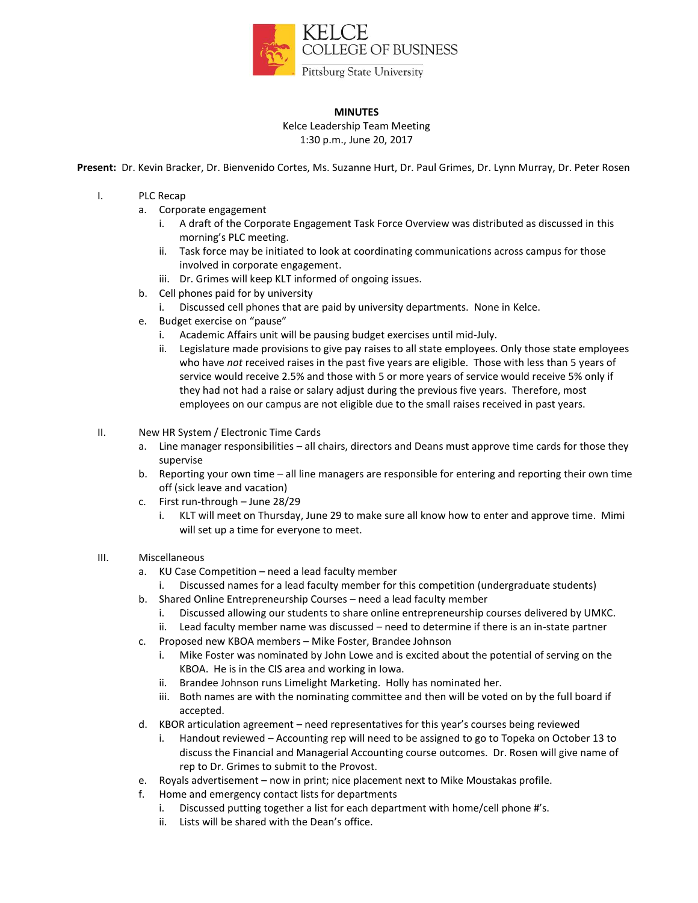

# **MINUTES**

Kelce Leadership Team Meeting 1:30 p.m., June 20, 2017

**Present:** Dr. Kevin Bracker, Dr. Bienvenido Cortes, Ms. Suzanne Hurt, Dr. Paul Grimes, Dr. Lynn Murray, Dr. Peter Rosen

### I. PLC Recap

- a. Corporate engagement
	- i. A draft of the Corporate Engagement Task Force Overview was distributed as discussed in this morning's PLC meeting.
	- ii. Task force may be initiated to look at coordinating communications across campus for those involved in corporate engagement.
	- iii. Dr. Grimes will keep KLT informed of ongoing issues.
- b. Cell phones paid for by university
	- i. Discussed cell phones that are paid by university departments. None in Kelce.
- e. Budget exercise on "pause"
	- i. Academic Affairs unit will be pausing budget exercises until mid-July.
	- ii. Legislature made provisions to give pay raises to all state employees. Only those state employees who have *not* received raises in the past five years are eligible. Those with less than 5 years of service would receive 2.5% and those with 5 or more years of service would receive 5% only if they had not had a raise or salary adjust during the previous five years. Therefore, most employees on our campus are not eligible due to the small raises received in past years.

# II. New HR System / Electronic Time Cards

- a. Line manager responsibilities all chairs, directors and Deans must approve time cards for those they supervise
- b. Reporting your own time all line managers are responsible for entering and reporting their own time off (sick leave and vacation)
- c. First run-through June 28/29
	- i. KLT will meet on Thursday, June 29 to make sure all know how to enter and approve time. Mimi will set up a time for everyone to meet.

#### III. Miscellaneous

- a. KU Case Competition need a lead faculty member
	- i. Discussed names for a lead faculty member for this competition (undergraduate students)
- b. Shared Online Entrepreneurship Courses need a lead faculty member
	- i. Discussed allowing our students to share online entrepreneurship courses delivered by UMKC.
	- ii. Lead faculty member name was discussed need to determine if there is an in-state partner
- c. Proposed new KBOA members Mike Foster, Brandee Johnson
	- i. Mike Foster was nominated by John Lowe and is excited about the potential of serving on the KBOA. He is in the CIS area and working in Iowa.
	- ii. Brandee Johnson runs Limelight Marketing. Holly has nominated her.
	- iii. Both names are with the nominating committee and then will be voted on by the full board if accepted.
- d. KBOR articulation agreement need representatives for this year's courses being reviewed
	- i. Handout reviewed Accounting rep will need to be assigned to go to Topeka on October 13 to discuss the Financial and Managerial Accounting course outcomes. Dr. Rosen will give name of rep to Dr. Grimes to submit to the Provost.
- e. Royals advertisement now in print; nice placement next to Mike Moustakas profile.
- f. Home and emergency contact lists for departments
	- i. Discussed putting together a list for each department with home/cell phone #'s.
	- ii. Lists will be shared with the Dean's office.